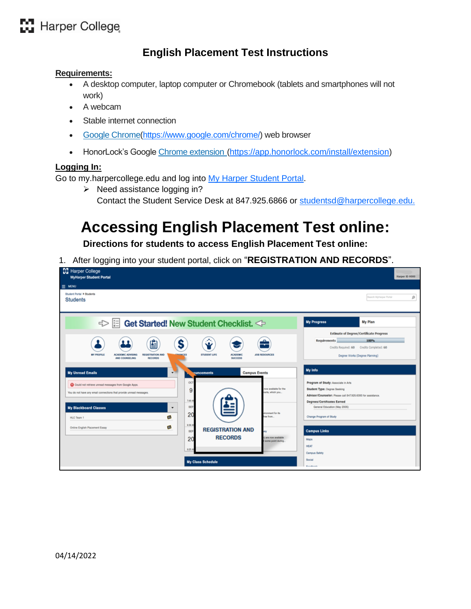# **English Placement Test Instructions**

### **Requirements:**

- A desktop computer, laptop computer or Chromebook (tablets and smartphones will not work)
- A webcam
- Stable internet connection
- [Google Chrome\(https://www.google.com/chrome/\)](https://www.google.com/chrome/) web browser
- HonorLock's Google [Chrome extension](https://app.honorlock.com/install/extension) [\(https://app.honorlock.com/install/extension\)](https://nam12.safelinks.protection.outlook.com/?url=https%3A%2F%2Fapp.honorlock.com%2Finstall%2Fextension&data=04%7C01%7Cskwon1%40harpercollege.edu%7C7552d63234c34a71910308da1cb611b8%7C41791c41ffcb45e49c1d11a6b502a6d7%7C0%7C0%7C637853865553876272%7CUnknown%7CTWFpbGZsb3d8eyJWIjoiMC4wLjAwMDAiLCJQIjoiV2luMzIiLCJBTiI6Ik1haWwiLCJXVCI6Mn0%3D%7C3000&sdata=migfd7fERMDXHkPyVxWKiQNms%2BNQO%2Bl43VxkNvNDEjY%3D&reserved=0)

### **Logging In:**

Go to my.harpercollege.edu and log into [My Harper Student Portal.](https://my.harpercollege.edu/cp/home/displaylogin)

- $\triangleright$  Need assistance logging in?
	- Contact the Student Service Desk at 847.925.6866 or [studentsd@harpercollege.edu.](mailto:studentsd@harpercollege.edu.)

# **Accessing English Placement Test online:**

**Directions for students to access English Placement Test online:**

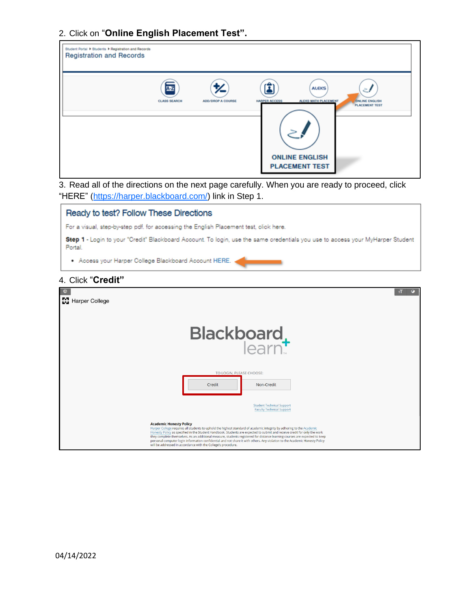# 2. Click on "**Online English Placement Test".**



3. Read all of the directions on the next page carefully. When you are ready to proceed, click "HERE" [\(https://harper.blackboard.com/\)](https://harper.blackboard.com/) link in Step 1.

#### Ready to test? Follow These Directions

For a visual, step-by-step pdf. for accessing the English Placement test, click here.

Step 1 - Login to your "Credit" Blackboard Account. To login, use the same credentials you use to access your MyHarper Student Portal.

• Access your Harper College Blackboard Account HERE.

#### 4. Click "**Credit"**

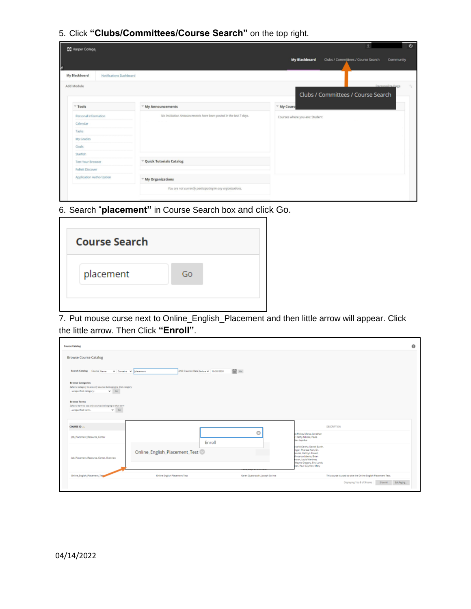5. Click **"Clubs/Committees/Course Search"** on the top right.

| <b>My Blackboard</b><br>Clubs / Committees / Course Search<br>в<br>My Blackboard<br>Notifications Dashboard<br>Personalize Page<br>Add Module<br>Clubs / Committees / Course Search<br>$-$ Tools<br>™ My Cours<br>My Announcements<br>No Institution Announcements have been posted in the last 7 days.<br>Personal Information<br>Courses where you are: Student<br>Calendar<br>Tasks<br>My Grades<br>Goals<br>Starfish<br><sup>₩</sup> Quick Tutorials Catalog<br><b>Test Your Browser</b><br><b>Follett Discover</b> | Harper College            |                    | $\mathbf{\omega}$<br>$\mathbf{R}$ |
|-------------------------------------------------------------------------------------------------------------------------------------------------------------------------------------------------------------------------------------------------------------------------------------------------------------------------------------------------------------------------------------------------------------------------------------------------------------------------------------------------------------------------|---------------------------|--------------------|-----------------------------------|
|                                                                                                                                                                                                                                                                                                                                                                                                                                                                                                                         |                           |                    | Community                         |
|                                                                                                                                                                                                                                                                                                                                                                                                                                                                                                                         |                           |                    |                                   |
|                                                                                                                                                                                                                                                                                                                                                                                                                                                                                                                         |                           |                    | $\tau_{\perp}$                    |
|                                                                                                                                                                                                                                                                                                                                                                                                                                                                                                                         |                           |                    |                                   |
|                                                                                                                                                                                                                                                                                                                                                                                                                                                                                                                         |                           |                    |                                   |
|                                                                                                                                                                                                                                                                                                                                                                                                                                                                                                                         |                           |                    |                                   |
|                                                                                                                                                                                                                                                                                                                                                                                                                                                                                                                         |                           |                    |                                   |
|                                                                                                                                                                                                                                                                                                                                                                                                                                                                                                                         |                           |                    |                                   |
|                                                                                                                                                                                                                                                                                                                                                                                                                                                                                                                         |                           |                    |                                   |
|                                                                                                                                                                                                                                                                                                                                                                                                                                                                                                                         |                           |                    |                                   |
|                                                                                                                                                                                                                                                                                                                                                                                                                                                                                                                         |                           |                    |                                   |
|                                                                                                                                                                                                                                                                                                                                                                                                                                                                                                                         |                           |                    |                                   |
|                                                                                                                                                                                                                                                                                                                                                                                                                                                                                                                         | Application Authorization | ™ My Organizations |                                   |
| You are not currently participating in any organizations.                                                                                                                                                                                                                                                                                                                                                                                                                                                               |                           |                    |                                   |

6. Search "**placement"** in Course Search box and click Go.

| Go | <b>Course Search</b> |  |
|----|----------------------|--|
|    | placement            |  |

7. Put mouse curse next to Online\_English\_Placement and then little arrow will appear. Click the little arrow. Then Click **"Enroll"**.

| <b>Course Catalog</b>                                                                                                           |                                       |                                  |                                                                                                                                                                                             | Θ |
|---------------------------------------------------------------------------------------------------------------------------------|---------------------------------------|----------------------------------|---------------------------------------------------------------------------------------------------------------------------------------------------------------------------------------------|---|
| <b>Browse Course Catalog</b>                                                                                                    |                                       |                                  |                                                                                                                                                                                             |   |
| Search Catalog Course Name V Contains V   placement                                                                             | AND Creation Date Before W 10/20/2020 | 留                                |                                                                                                                                                                                             |   |
| <b>Browse Categories</b><br>Select a category to pee only courses belonging to that category<br>-unspecified category-<br>$-60$ |                                       |                                  |                                                                                                                                                                                             |   |
| <b>Browse Terms</b><br>Select a term to see only courses belonging to that term<br>$\vee$ 65<br>-unspecified term-              |                                       |                                  |                                                                                                                                                                                             |   |
| COURSE ID                                                                                                                       |                                       |                                  | DESCRIPTION                                                                                                                                                                                 |   |
| Job, Racement, Resource, Center                                                                                                 | Enroll                                | O<br>$\sim$                      | et Hickey-Marco, Jonathan<br>Kechy Nikolai, Paula<br>ber-Lagidus                                                                                                                            |   |
| Job Recement Resource Center Overview                                                                                           | Online_English_Placement_Test         |                                  | ira McCarthy, Daniel Burch,<br>rger, Therese Hart, Dr.<br>oulos, Kethryn Powell,<br>Ancenzo Liberio, Brian<br>roon, Louis Martinez,<br>Wayne Gregory, Eric Lundt,<br>ran, Paul Guymon, Mary |   |
| Online_English_Placement_Term                                                                                                   | Online English Placement Test         | Karen Quattroothi, Joseph Scrima | This course is used to take the Online English Placement Test.                                                                                                                              |   |
|                                                                                                                                 |                                       |                                  |                                                                                                                                                                                             |   |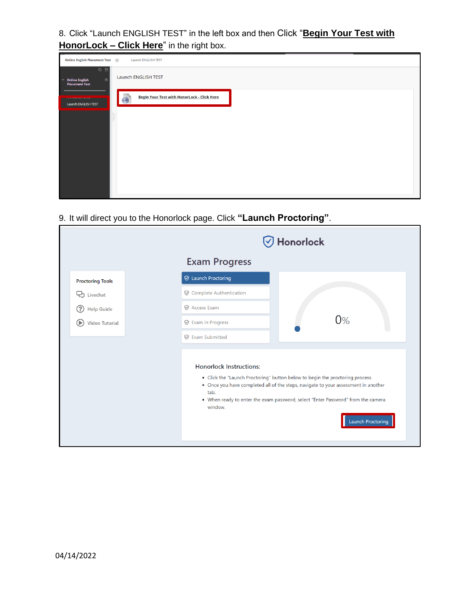8. Click "Launch ENGLISH TEST" in the left box and then Click "**Begin Your Test with HonorLock – Click Here**" in the right box.

| Online English Placement Test                                                                     | Launch ENGLISH TEST                                     |
|---------------------------------------------------------------------------------------------------|---------------------------------------------------------|
| O <sub>1</sub><br><b>Online English</b><br>٠<br>$\overline{\phantom{a}}$<br><b>Placement Test</b> | Launch ENGLISH TEST                                     |
| Launch ENGLISH TEST                                                                               | <b>Begin Your Test with HonorLock - Click Here</b><br>4 |
|                                                                                                   |                                                         |
|                                                                                                   |                                                         |
|                                                                                                   |                                                         |
|                                                                                                   |                                                         |
|                                                                                                   |                                                         |
|                                                                                                   |                                                         |

9. It will direct you to the Honorlock page. Click **"Launch Proctoring"**.

|                         | Honorlock                                                                                                                                                                                                                                                                                                                         |
|-------------------------|-----------------------------------------------------------------------------------------------------------------------------------------------------------------------------------------------------------------------------------------------------------------------------------------------------------------------------------|
|                         | <b>Exam Progress</b>                                                                                                                                                                                                                                                                                                              |
| <b>Proctoring Tools</b> | <b>⊘</b> Launch Proctoring                                                                                                                                                                                                                                                                                                        |
| Livechat<br>↳┵┑         | ◎ Complete Authentication                                                                                                                                                                                                                                                                                                         |
| <b>Help Guide</b><br>3  | <b>⊘</b> Access Exam                                                                                                                                                                                                                                                                                                              |
| <b>Video Tutorial</b>   | 0%<br><b>⊘</b> Exam in Progress                                                                                                                                                                                                                                                                                                   |
|                         | <b>⊘</b> Exam Submitted                                                                                                                                                                                                                                                                                                           |
|                         | <b>Honorlock Instructions:</b><br>• Click the "Launch Proctoring" button below to begin the proctoring process.<br>• Once you have completed all of the steps, navigate to your assessment in another<br>tab.<br>• When ready to enter the exam password, select "Enter Password" from the camera<br>window.<br>Launch Proctoring |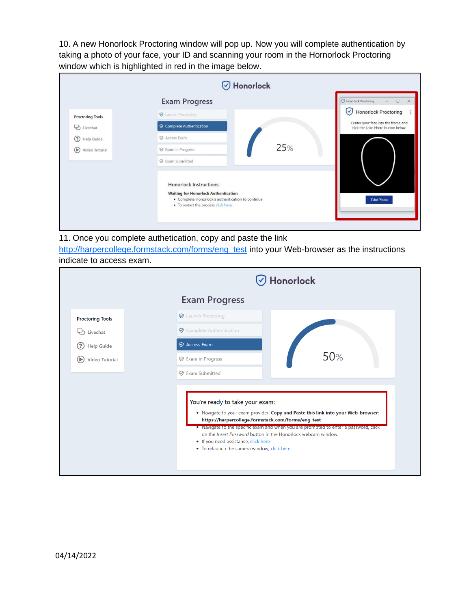10. A new Honorlock Proctoring window will pop up. Now you will complete authentication by taking a photo of your face, your ID and scanning your room in the Hornorlock Proctoring window which is highlighted in red in the image below.

|                                      | <b>⊙</b> Honorlock                                                                                                                                                        |                                                                           |
|--------------------------------------|---------------------------------------------------------------------------------------------------------------------------------------------------------------------------|---------------------------------------------------------------------------|
|                                      | <b>Exam Progress</b>                                                                                                                                                      | Honorlock Proctoring<br>$\Box$<br>$\times$                                |
| <b>Proctoring Tools</b>              | <b>⊘</b> Launch Proctoring                                                                                                                                                | <b>Honorlock Proctoring</b><br>(V)                                        |
| ₩<br>Livechat                        | ◎ Complete Authentication                                                                                                                                                 | Center your face into the frame and<br>click the Take Photo button below. |
| $\circledR$<br>Help Guide            | Access Exam                                                                                                                                                               |                                                                           |
| $(\triangleright)$<br>Video Tutorial | 25%<br><b>⊘</b> Exam in Progress                                                                                                                                          |                                                                           |
|                                      | ◎ Exam Submitted                                                                                                                                                          |                                                                           |
|                                      | <b>Honorlock Instructions:</b><br><b>Waiting for Honorlock Authentication</b><br>• Complete Honorlock's authentication to continue<br>• To restart the process click here | <b>Take Photo</b>                                                         |

11. Once you complete authetication, copy and paste the link

[http://harpercollege.formstack.com/forms/eng\\_test](http://harpercollege.formstack.com/forms/eng_test) into your Web-browser as the instructions indicate to access exam.

|                                                                                               | Honorlock                                                                                                                                                                                                                                                                                                                                                                                                                                                                                                                                                                                  |
|-----------------------------------------------------------------------------------------------|--------------------------------------------------------------------------------------------------------------------------------------------------------------------------------------------------------------------------------------------------------------------------------------------------------------------------------------------------------------------------------------------------------------------------------------------------------------------------------------------------------------------------------------------------------------------------------------------|
|                                                                                               | <b>Exam Progress</b>                                                                                                                                                                                                                                                                                                                                                                                                                                                                                                                                                                       |
| <b>Proctoring Tools</b><br>P.<br>Livechat<br>?)<br><b>Help Guide</b><br><b>Video Tutorial</b> | <b>⊘</b> Launch Proctoring<br><b>⊙</b> Complete Authentication<br><b>⊘</b> Access Exam<br>50%<br><b>⊘</b> Exam in Progress<br><b>⊘</b> Exam Submitted<br>You're ready to take your exam:<br>. Navigate to your exam provider: Copy and Paste this link into your Web-browser:<br>https://harpercollege.formstack.com/forms/eng_test<br>. Navigate to the specific exam and when you are prompted to enter a password, click<br>on the <i>Insert Password</i> button in the Honorlock webcam window.<br>• If you need assistance, click here<br>• To relaunch the camera window, click here |
|                                                                                               |                                                                                                                                                                                                                                                                                                                                                                                                                                                                                                                                                                                            |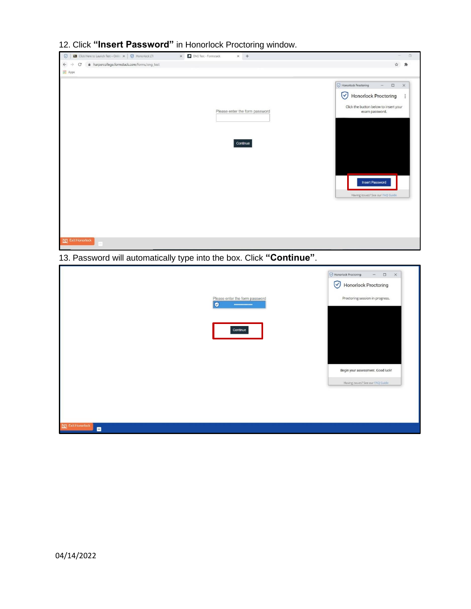

# 12. Click **"Insert Password"** in Honorlock Proctoring window.

13. Password will automatically type into the box. Click **"Continue"**.

|                                           |                                               | Honorlock Proctoring<br>$\Box$<br>$\mathsf{X}$<br>$\overline{\phantom{m}}$<br>Honorlock Proctoring |
|-------------------------------------------|-----------------------------------------------|----------------------------------------------------------------------------------------------------|
|                                           | Please enter the form password<br>$\circ$<br> | Proctoring session in progress.                                                                    |
|                                           | Continue                                      |                                                                                                    |
|                                           |                                               |                                                                                                    |
|                                           |                                               | Begin your assessment. Good luck!                                                                  |
|                                           |                                               | Having issues? See our FAQ Guide                                                                   |
|                                           |                                               |                                                                                                    |
| $\Sigma$ Exit Honorlock<br>$\blacksquare$ |                                               |                                                                                                    |